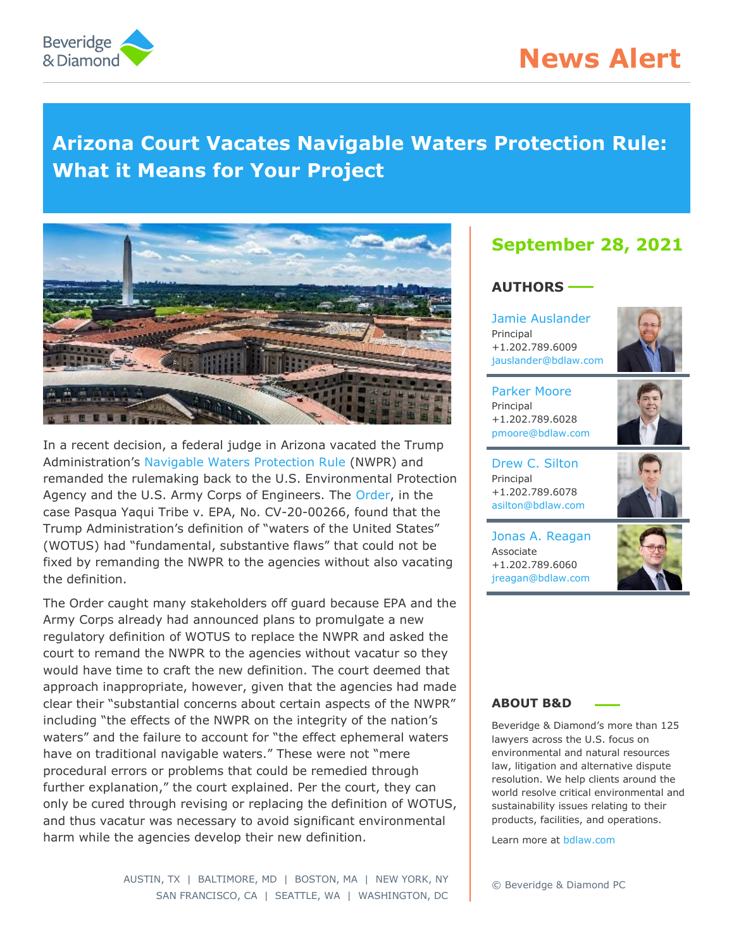

# **News Alert**

# **Arizona Court Vacates Navigable Waters Protection Rule: What it Means for Your Project**



In a recent decision, a federal judge in Arizona vacated the Trump Administration's [Navigable Waters Protection Rule](https://www.bdlaw.com/w-parker-moore/publications/new-wotus-rule-clarifies-clean-water-act-jurisdiction-awaits-litigation/) (NWPR) and remanded the rulemaking back to the U.S. Environmental Protection Agency and the U.S. Army Corps of Engineers. The [Order,](https://www.bdlaw.com/content/uploads/2021/09/Pasqua-Yaqui-Tribe-et-al.-v.-EPA-Order-1.pdf) in the case Pasqua Yaqui Tribe v. EPA, No. CV-20-00266, found that the Trump Administration's definition of "waters of the United States" (WOTUS) had "fundamental, substantive flaws" that could not be fixed by remanding the NWPR to the agencies without also vacating the definition.

The Order caught many stakeholders off guard because EPA and the Army Corps already had announced plans to promulgate a new regulatory definition of WOTUS to replace the NWPR and asked the court to remand the NWPR to the agencies without vacatur so they would have time to craft the new definition. The court deemed that approach inappropriate, however, given that the agencies had made clear their "substantial concerns about certain aspects of the NWPR" including "the effects of the NWPR on the integrity of the nation's waters" and the failure to account for "the effect ephemeral waters have on traditional navigable waters." These were not "mere procedural errors or problems that could be remedied through further explanation," the court explained. Per the court, they can only be cured through revising or replacing the definition of WOTUS, and thus vacatur was necessary to avoid significant environmental harm while the agencies develop their new definition.

# **September 28, 2021**

#### **AUTHORS**

[Jamie Auslander](https://www.bdlaw.com/james-m-auslander/) Principal +1.202.789.6009 [jauslander@bdlaw.com](mailto:jauslander@bdlaw.com)



[Parker Moore](https://www.bdlaw.com/w-parker-moore/) Principal +1.202.789.6028 [pmoore@bdlaw.com](mailto:pmoore@bdlaw.com)

[Drew C. Silton](https://www.bdlaw.com/andrew-c-silton/) Principal +1.202.789.6078 [asilton@bdlaw.com](mailto:asilton@bdlaw.com)



[Jonas A. Reagan](https://www.bdlaw.com/jonas-a-reagan/) Associate +1.202.789.6060 [jreagan@bdlaw.com](mailto:jreagan@bdlaw.com)



#### **ABOUT B&D**

Beveridge & Diamond's more than 125 lawyers across the U.S. focus on environmental and natural resources law, litigation and alternative dispute resolution. We help clients around the world resolve critical environmental and sustainability issues relating to their products, facilities, and operations.

Learn more at [bdlaw.com](http://www.bdlaw.com/)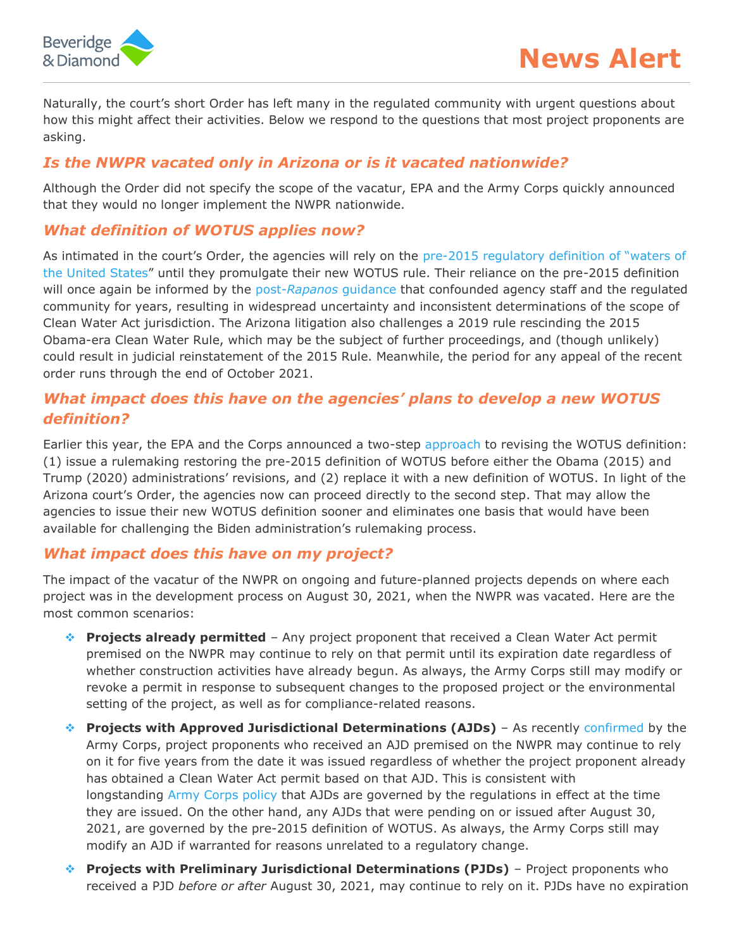

Naturally, the court's short Order has left many in the regulated community with urgent questions about how this might affect their activities. Below we respond to the questions that most project proponents are asking.

# *Is the NWPR vacated only in Arizona or is it vacated nationwide?*

Although the Order did not specify the scope of the vacatur, EPA and the Army Corps quickly announced that they would no longer implement the NWPR nationwide.

### *What definition of WOTUS applies now?*

As intimated in the court's Order, the agencies will rely on the pre-2015 regulatory definition of "waters of [the United States](https://www.gpo.gov/fdsys/pkg/CFR-2011-title33-vol3/pdf/CFR-2011-title33-vol3-part328.pdf)" until they promulgate their new WOTUS rule. Their reliance on the pre-2015 definition will once again be informed by the post-*Rapanos* [guidance](https://usace.contentdm.oclc.org/utils/getfile/collection/p16021coll5/id/1411) that confounded agency staff and the regulated community for years, resulting in widespread uncertainty and inconsistent determinations of the scope of Clean Water Act jurisdiction. The Arizona litigation also challenges a 2019 rule rescinding the 2015 Obama-era Clean Water Rule, which may be the subject of further proceedings, and (though unlikely) could result in judicial reinstatement of the 2015 Rule. Meanwhile, the period for any appeal of the recent order runs through the end of October 2021.

## *What impact does this have on the agencies' plans to develop a new WOTUS definition?*

Earlier this year, the EPA and the Corps announced a two-step [approach](https://www.epa.gov/newsreleases/epa-and-army-announce-next-steps-crafting-enduring-definition-waters-united-states) to revising the WOTUS definition: (1) issue a rulemaking restoring the pre-2015 definition of WOTUS before either the Obama (2015) and Trump (2020) administrations' revisions, and (2) replace it with a new definition of WOTUS. In light of the Arizona court's Order, the agencies now can proceed directly to the second step. That may allow the agencies to issue their new WOTUS definition sooner and eliminates one basis that would have been available for challenging the Biden administration's rulemaking process.

### *What impact does this have on my project?*

The impact of the vacatur of the NWPR on ongoing and future-planned projects depends on where each project was in the development process on August 30, 2021, when the NWPR was vacated. Here are the most common scenarios:

- **Projects already permitted** Any project proponent that received a Clean Water Act permit premised on the NWPR may continue to rely on that permit until its expiration date regardless of whether construction activities have already begun. As always, the Army Corps still may modify or revoke a permit in response to subsequent changes to the proposed project or the environmental setting of the project, as well as for compliance-related reasons.
- **Projects with Approved Jurisdictional Determinations (AJDs)** As recently [confirmed](https://www.usace.army.mil/Missions/Civil-Works/Regulatory-Program-and-Permits/) by the Army Corps, project proponents who received an AJD premised on the NWPR may continue to rely on it for five years from the date it was issued regardless of whether the project proponent already has obtained a Clean Water Act permit based on that AJD. This is consistent with longstanding [Army Corps policy](https://usace.contentdm.oclc.org/utils/getfile/collection/p16021coll9/id/1246) that AJDs are governed by the regulations in effect at the time they are issued. On the other hand, any AJDs that were pending on or issued after August 30, 2021, are governed by the pre-2015 definition of WOTUS. As always, the Army Corps still may modify an AJD if warranted for reasons unrelated to a regulatory change.
- **Projects with Preliminary Jurisdictional Determinations (PJDs)** Project proponents who received a PJD *before or after* August 30, 2021, may continue to rely on it. PJDs have no expiration